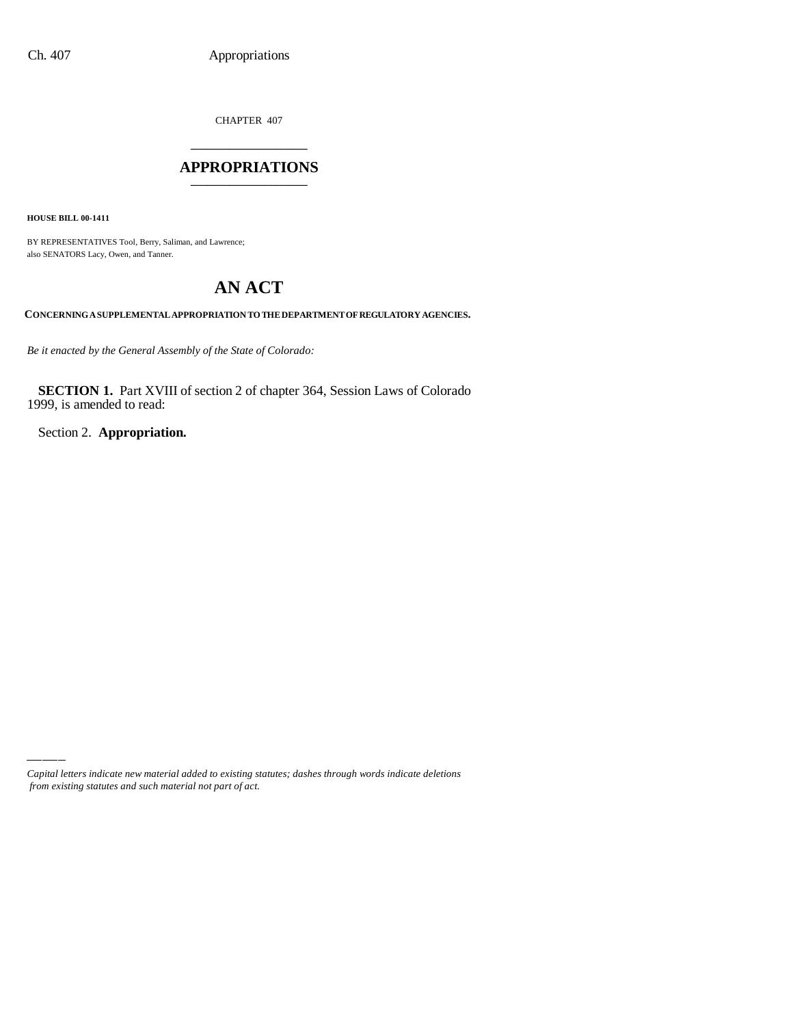CHAPTER 407 \_\_\_\_\_\_\_\_\_\_\_\_\_\_\_

### **APPROPRIATIONS** \_\_\_\_\_\_\_\_\_\_\_\_\_\_\_

**HOUSE BILL 00-1411**

BY REPRESENTATIVES Tool, Berry, Saliman, and Lawrence; also SENATORS Lacy, Owen, and Tanner.

# **AN ACT**

**CONCERNING A SUPPLEMENTAL APPROPRIATION TO THE DEPARTMENT OF REGULATORY AGENCIES.**

*Be it enacted by the General Assembly of the State of Colorado:*

**SECTION 1.** Part XVIII of section 2 of chapter 364, Session Laws of Colorado 1999, is amended to read:

Section 2. **Appropriation.**

*Capital letters indicate new material added to existing statutes; dashes through words indicate deletions from existing statutes and such material not part of act.*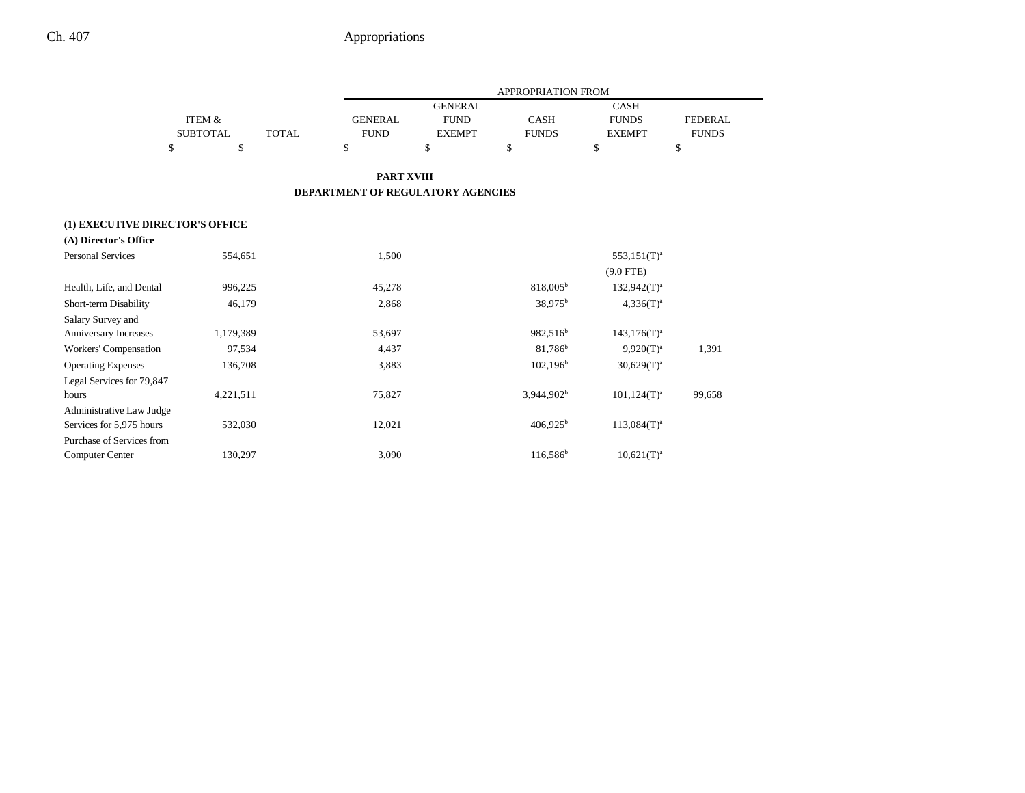|                                 |                 |                                          | APPROPRIATION FROM |                        |                            |                |
|---------------------------------|-----------------|------------------------------------------|--------------------|------------------------|----------------------------|----------------|
|                                 |                 |                                          | <b>GENERAL</b>     |                        | <b>CASH</b>                |                |
|                                 | ITEM &          | <b>GENERAL</b>                           | <b>FUND</b>        | <b>CASH</b>            | <b>FUNDS</b>               | <b>FEDERAL</b> |
|                                 | <b>SUBTOTAL</b> | <b>TOTAL</b><br><b>FUND</b>              | <b>EXEMPT</b>      | <b>FUNDS</b>           | <b>EXEMPT</b>              | <b>FUNDS</b>   |
|                                 | \$<br>\$        | \$                                       | \$                 | \$                     | \$                         | \$             |
|                                 |                 |                                          | <b>PART XVIII</b>  |                        |                            |                |
|                                 |                 | <b>DEPARTMENT OF REGULATORY AGENCIES</b> |                    |                        |                            |                |
| (1) EXECUTIVE DIRECTOR'S OFFICE |                 |                                          |                    |                        |                            |                |
| (A) Director's Office           |                 |                                          |                    |                        |                            |                |
| <b>Personal Services</b>        | 554,651         | 1,500                                    |                    |                        | $553,151$ (T) <sup>a</sup> |                |
|                                 |                 |                                          |                    |                        | $(9.0$ FTE)                |                |
| Health, Life, and Dental        | 996,225         | 45,278                                   |                    | $818,005^{\rm b}$      | $132,942(T)^{a}$           |                |
| Short-term Disability           | 46,179          | 2,868                                    |                    | 38,975 <sup>b</sup>    | $4,336(T)^{a}$             |                |
| Salary Survey and               |                 |                                          |                    |                        |                            |                |
| Anniversary Increases           | 1,179,389       | 53,697                                   |                    | 982,516 <sup>b</sup>   | $143,176(T)^{a}$           |                |
| Workers' Compensation           | 97,534          | 4,437                                    |                    | 81,786 <sup>b</sup>    | $9,920(T)^{a}$             | 1,391          |
| <b>Operating Expenses</b>       | 136,708         | 3,883                                    |                    | $102,196^{\rm b}$      | $30,629(T)^a$              |                |
| Legal Services for 79,847       |                 |                                          |                    |                        |                            |                |
| hours                           | 4,221,511       | 75,827                                   |                    | 3,944,902 <sup>b</sup> | $101,124(T)^a$             | 99,658         |
| Administrative Law Judge        |                 |                                          |                    |                        |                            |                |
| Services for 5,975 hours        | 532,030         | 12,021                                   |                    | $406,925^{\rm b}$      | $113,084(T)^{a}$           |                |
| Purchase of Services from       |                 |                                          |                    |                        |                            |                |
| <b>Computer Center</b>          | 130,297         | 3,090                                    |                    | 116,586 <sup>b</sup>   | $10,621(T)^a$              |                |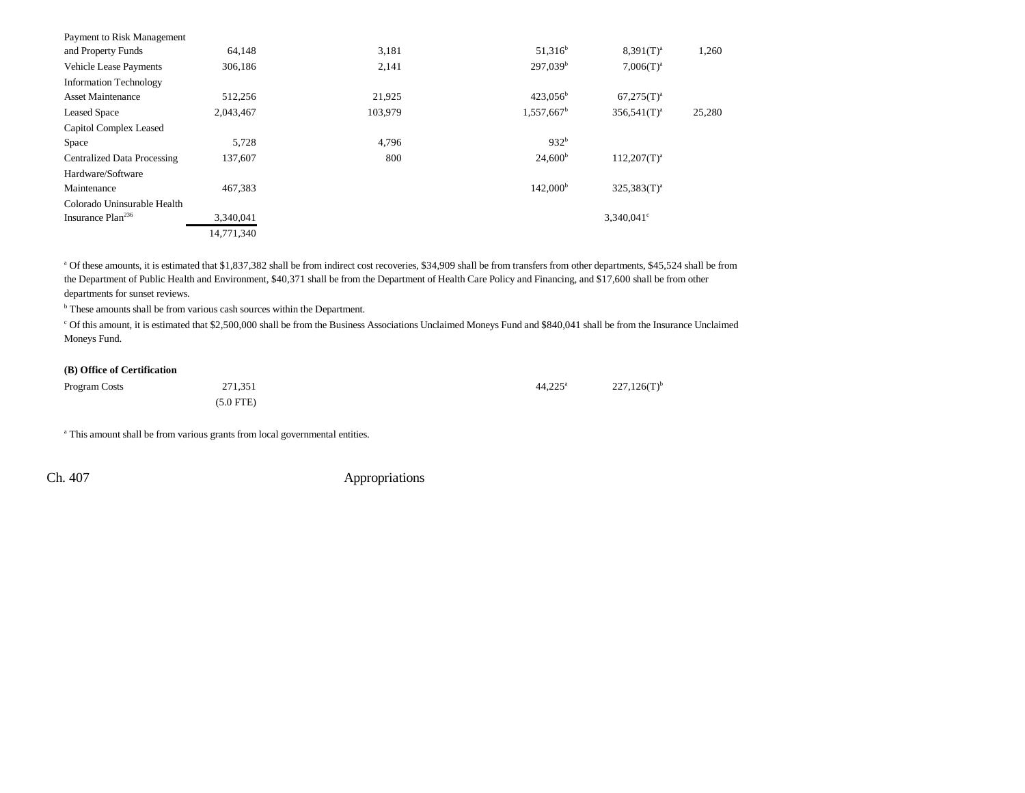| 64,148     | 3,181   | $51,316^b$               | $8,391(T)^{a}$      | 1,260  |
|------------|---------|--------------------------|---------------------|--------|
| 306,186    | 2,141   | 297,039 <sup>b</sup>     | $7,006(T)^a$        |        |
|            |         |                          |                     |        |
| 512,256    | 21,925  | $423,056^{\rm b}$        | $67,275(T)^a$       |        |
| 2,043,467  | 103.979 | $1,557,667$ <sup>b</sup> | $356,541(T)^a$      | 25,280 |
|            |         |                          |                     |        |
| 5,728      | 4,796   | 932 <sup>b</sup>         |                     |        |
| 137,607    | 800     | $24,600^{\rm b}$         | $112,207(T)^{a}$    |        |
|            |         |                          |                     |        |
| 467,383    |         | 142,000 <sup>b</sup>     | $325,383(T)^a$      |        |
|            |         |                          |                     |        |
| 3,340,041  |         |                          | $3.340.041^{\circ}$ |        |
| 14.771.340 |         |                          |                     |        |
|            |         |                          |                     |        |

a Of these amounts, it is estimated that \$1,837,382 shall be from indirect cost recoveries, \$34,909 shall be from transfers from other departments, \$45,524 shall be from the Department of Public Health and Environment, \$40,371 shall be from the Department of Health Care Policy and Financing, and \$17,600 shall be from other departments for sunset reviews.

<sup>b</sup> These amounts shall be from various cash sources within the Department.

c Of this amount, it is estimated that \$2,500,000 shall be from the Business Associations Unclaimed Moneys Fund and \$840,041 shall be from the Insurance Unclaimed Moneys Fund.

### **(B) Office of Certification**

| Program Costs | 271,351     | $44.225^{\circ}$ | $227,126(T)$ <sup>b</sup> |
|---------------|-------------|------------------|---------------------------|
|               | $(5.0$ FTE) |                  |                           |

<sup>a</sup> This amount shall be from various grants from local governmental entities.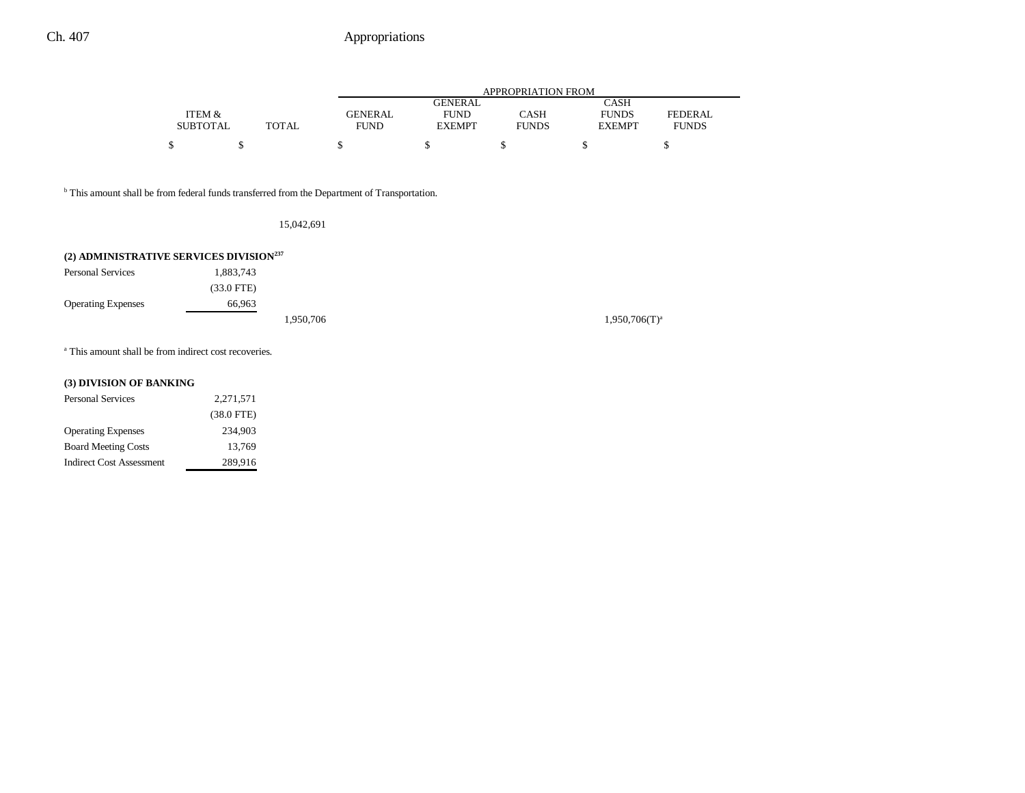|                 |              |                |                | APPROPRIATION FROM |               |                |
|-----------------|--------------|----------------|----------------|--------------------|---------------|----------------|
|                 |              |                | <b>GENERAL</b> |                    | CASH          |                |
| ITEM &          |              | <b>GENERAL</b> | <b>FUND</b>    | CASH               | <b>FUNDS</b>  | <b>FEDERAL</b> |
| <b>SUBTOTAL</b> | <b>TOTAL</b> | FUND           | <b>EXEMPT</b>  | <b>FUNDS</b>       | <b>EXEMPT</b> | <b>FUNDS</b>   |
|                 |              |                |                |                    |               |                |

<sup>b</sup> This amount shall be from federal funds transferred from the Department of Transportation.

15,042,691

## **(2) ADMINISTRATIVE SERVICES DIVISION237**

| <b>Personal Services</b>  | 1,883,743    |           |  |
|---------------------------|--------------|-----------|--|
|                           | $(33.0$ FTE) |           |  |
| <b>Operating Expenses</b> | 66.963       |           |  |
|                           |              | 1,950,706 |  |

 $1,950,706(T)^{a}$ 

<sup>a</sup> This amount shall be from indirect cost recoveries.

## **(3) DIVISION OF BANKING**

| <b>Personal Services</b>        | 2,271,571    |
|---------------------------------|--------------|
|                                 | $(38.0$ FTE) |
| <b>Operating Expenses</b>       | 234,903      |
| <b>Board Meeting Costs</b>      | 13.769       |
| <b>Indirect Cost Assessment</b> | 289,916      |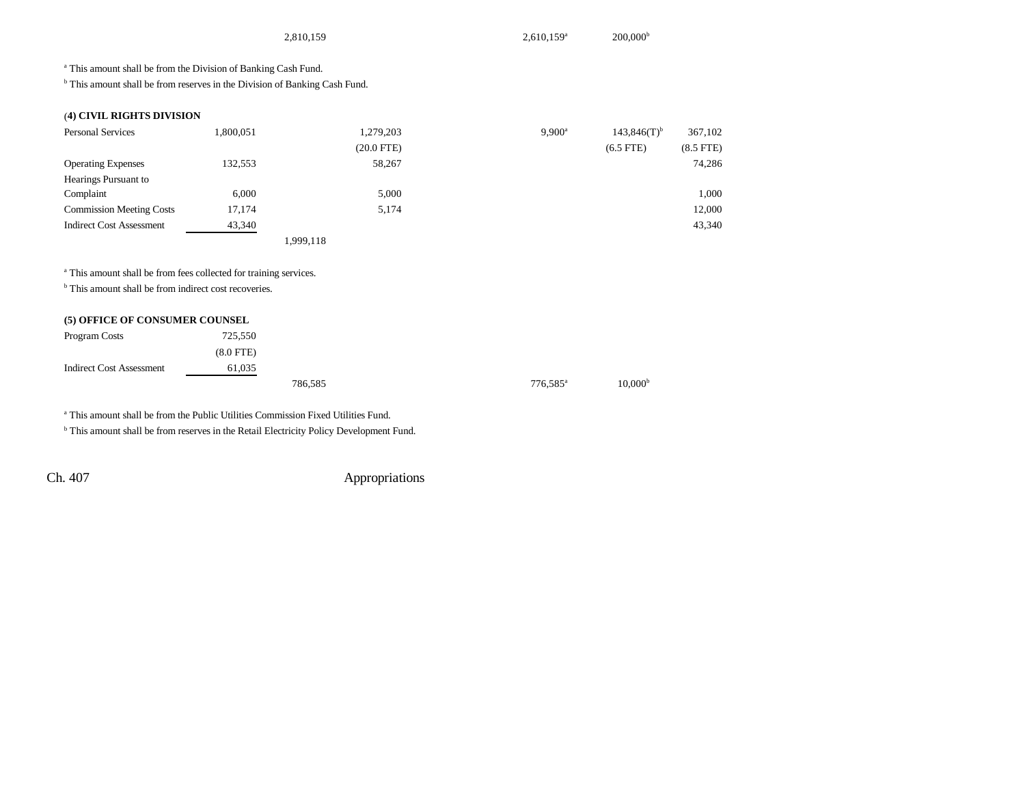|                                                                                       |           | 2,810,159    | 2,610,159 <sup>a</sup> | 200,000 <sup>b</sup>      |                |
|---------------------------------------------------------------------------------------|-----------|--------------|------------------------|---------------------------|----------------|
| <sup>a</sup> This amount shall be from the Division of Banking Cash Fund.             |           |              |                        |                           |                |
| <sup>b</sup> This amount shall be from reserves in the Division of Banking Cash Fund. |           |              |                        |                           |                |
| (4) CIVIL RIGHTS DIVISION                                                             |           |              |                        |                           |                |
| <b>Personal Services</b>                                                              | 1,800,051 | 1,279,203    | $9,900^{\rm a}$        | $143,846(T)$ <sup>b</sup> | 367,102        |
|                                                                                       |           | $(20.0$ FTE) |                        | $(6.5$ FTE)               | $(8.5$ FTE $)$ |
| <b>Operating Expenses</b>                                                             | 132,553   | 58,267       |                        |                           | 74,286         |
| Hearings Pursuant to                                                                  |           |              |                        |                           |                |
| Complaint                                                                             | 6,000     | 5,000        |                        |                           | 1,000          |
| <b>Commission Meeting Costs</b>                                                       | 17,174    | 5,174        |                        |                           | 12,000         |
| <b>Indirect Cost Assessment</b>                                                       | 43,340    |              |                        |                           | 43,340         |
|                                                                                       |           | 1,999,118    |                        |                           |                |
|                                                                                       |           |              |                        |                           |                |
| <sup>a</sup> This amount shall be from fees collected for training services.          |           |              |                        |                           |                |
| <sup>b</sup> This amount shall be from indirect cost recoveries.                      |           |              |                        |                           |                |

### **(5) OFFICE OF CONSUMER COUNSEL**

| Program Costs                   | 725,550        |         |  |                      |                     |
|---------------------------------|----------------|---------|--|----------------------|---------------------|
|                                 | $(8.0$ FTE $)$ |         |  |                      |                     |
| <b>Indirect Cost Assessment</b> | 61,035         |         |  |                      |                     |
|                                 |                | 786,585 |  | 776.585 <sup>a</sup> | 10,000 <sup>b</sup> |

a This amount shall be from the Public Utilities Commission Fixed Utilities Fund.

 $b$  This amount shall be from reserves in the Retail Electricity Policy Development Fund.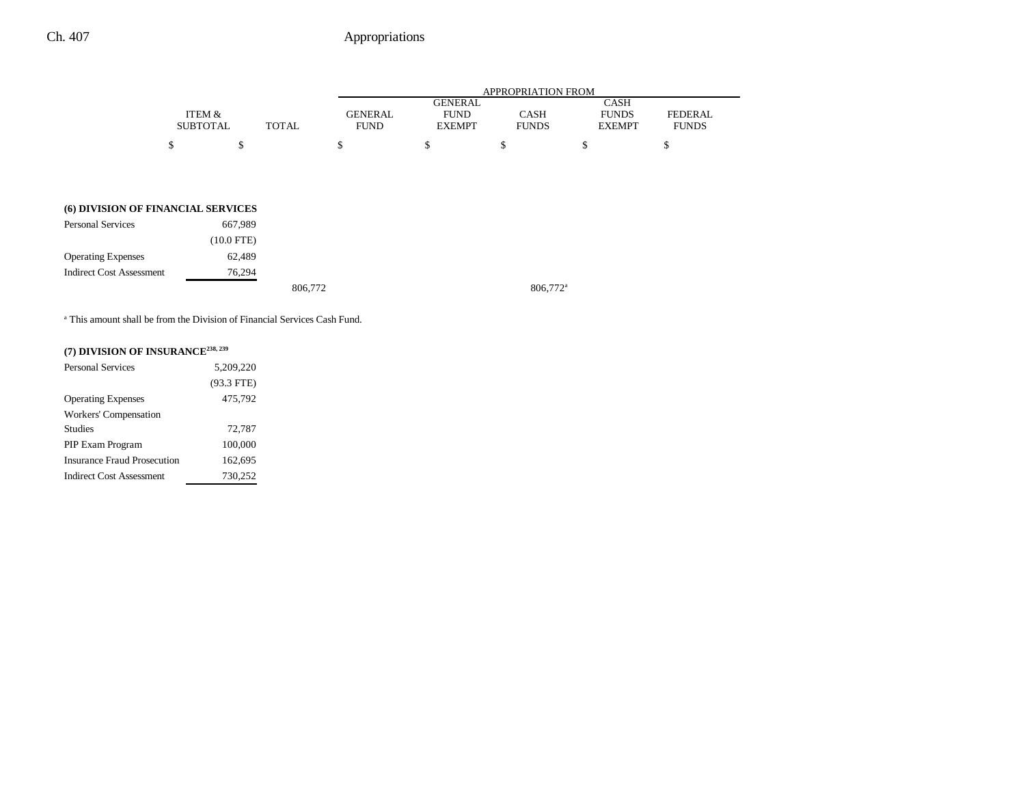|                 |              |             |                | APPROPRIATION FROM |               |                |
|-----------------|--------------|-------------|----------------|--------------------|---------------|----------------|
|                 |              |             | <b>GENERAL</b> |                    | CASH          |                |
| ITEM &          |              | GENERAL     | FUND           | CASH               | <b>FUNDS</b>  | <b>FEDERAL</b> |
| <b>SUBTOTAL</b> | <b>TOTAL</b> | <b>FUND</b> | <b>EXEMPT</b>  | <b>FUNDS</b>       | <b>EXEMPT</b> | <b>FUNDS</b>   |
|                 |              |             |                |                    |               |                |

### **(6) DIVISION OF FINANCIAL SERVICES**

| Personal Services               | 667,989      |         |                      |
|---------------------------------|--------------|---------|----------------------|
|                                 | $(10.0$ FTE) |         |                      |
| <b>Operating Expenses</b>       | 62,489       |         |                      |
| <b>Indirect Cost Assessment</b> | 76.294       |         |                      |
|                                 |              | 806,772 | 806,772 <sup>a</sup> |

a This amount shall be from the Division of Financial Services Cash Fund.

### **(7) DIVISION OF INSURANCE238, 239**

| <b>Personal Services</b>           | 5,209,220    |
|------------------------------------|--------------|
|                                    | $(93.3$ FTE) |
| <b>Operating Expenses</b>          | 475,792      |
| Workers' Compensation              |              |
| <b>Studies</b>                     | 72,787       |
| PIP Exam Program                   | 100,000      |
| <b>Insurance Fraud Prosecution</b> | 162,695      |
| Indirect Cost Assessment           | 730,252      |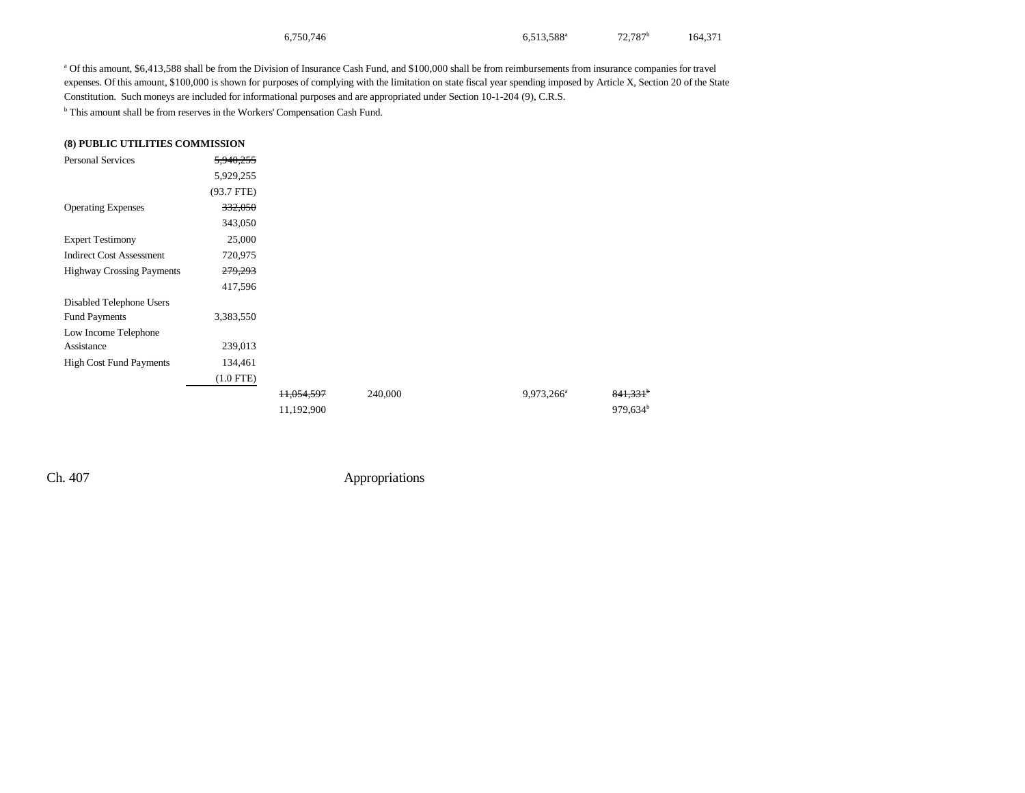| 6,750,746 | 6,513,588 <sup>a</sup> | $72,787$ <sup>b</sup> | 164,371 |
|-----------|------------------------|-----------------------|---------|
|-----------|------------------------|-----------------------|---------|

a Of this amount, \$6,413,588 shall be from the Division of Insurance Cash Fund, and \$100,000 shall be from reimbursements from insurance companies for travel expenses. Of this amount, \$100,000 is shown for purposes of complying with the limitation on state fiscal year spending imposed by Article X, Section 20 of the State Constitution. Such moneys are included for informational purposes and are appropriated under Section 10-1-204 (9), C.R.S.

b This amount shall be from reserves in the Workers' Compensation Cash Fund.

### **(8) PUBLIC UTILITIES COMMISSION**

| <b>Personal Services</b>         | 5,940,255          |            |         |                        |                      |
|----------------------------------|--------------------|------------|---------|------------------------|----------------------|
|                                  | 5,929,255          |            |         |                        |                      |
|                                  | $(93.7$ FTE)       |            |         |                        |                      |
| <b>Operating Expenses</b>        | 332,050            |            |         |                        |                      |
|                                  | 343,050            |            |         |                        |                      |
| <b>Expert Testimony</b>          | 25,000             |            |         |                        |                      |
| <b>Indirect Cost Assessment</b>  | 720,975            |            |         |                        |                      |
| <b>Highway Crossing Payments</b> | <del>279,293</del> |            |         |                        |                      |
|                                  | 417,596            |            |         |                        |                      |
| Disabled Telephone Users         |                    |            |         |                        |                      |
| <b>Fund Payments</b>             | 3,383,550          |            |         |                        |                      |
| Low Income Telephone             |                    |            |         |                        |                      |
| Assistance                       | 239,013            |            |         |                        |                      |
| <b>High Cost Fund Payments</b>   | 134,461            |            |         |                        |                      |
|                                  | $(1.0$ FTE)        |            |         |                        |                      |
|                                  |                    | 11,054,597 | 240,000 | 9,973,266 <sup>a</sup> | 841,331              |
|                                  |                    | 11,192,900 |         |                        | 979,634 <sup>b</sup> |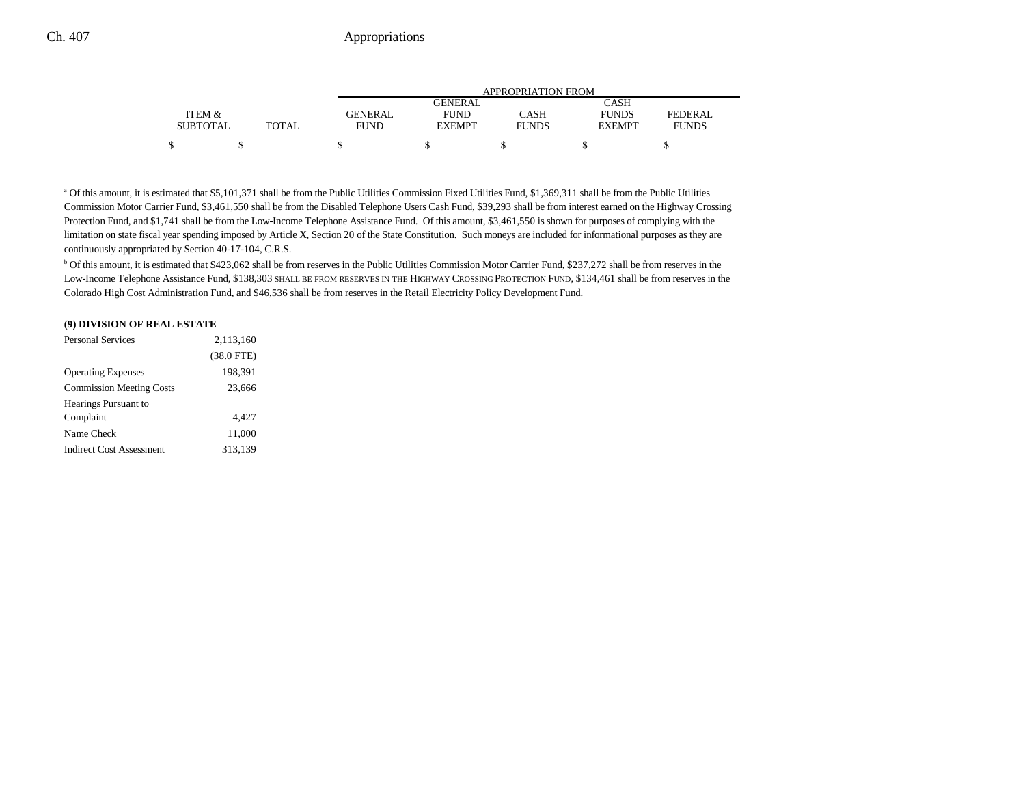|                 |              | <b>APPROPRIATION FROM</b> |               |              |               |              |  |
|-----------------|--------------|---------------------------|---------------|--------------|---------------|--------------|--|
|                 |              |                           | GENERAL       |              | CASH          |              |  |
| ITEM &          |              | <b>GENERAL</b>            | <b>FUND</b>   | CASH         | <b>FUNDS</b>  | FEDERAL      |  |
| <b>SUBTOTAL</b> | <b>TOTAL</b> | FUND                      | <b>EXEMPT</b> | <b>FUNDS</b> | <b>EXEMPT</b> | <b>FUNDS</b> |  |
| ሖ               |              |                           |               |              |               |              |  |

<sup>a</sup> Of this amount, it is estimated that \$5,101,371 shall be from the Public Utilities Commission Fixed Utilities Fund, \$1,369,311 shall be from the Public Utilities Commission Motor Carrier Fund, \$3,461,550 shall be from the Disabled Telephone Users Cash Fund, \$39,293 shall be from interest earned on the Highway Crossing Protection Fund, and \$1,741 shall be from the Low-Income Telephone Assistance Fund. Of this amount, \$3,461,550 is shown for purposes of complying with the limitation on state fiscal year spending imposed by Article X, Section 20 of the State Constitution. Such moneys are included for informational purposes as they are continuously appropriated by Section 40-17-104, C.R.S.

b Of this amount, it is estimated that \$423,062 shall be from reserves in the Public Utilities Commission Motor Carrier Fund, \$237,272 shall be from reserves in the Low-Income Telephone Assistance Fund, \$138,303 SHALL BE FROM RESERVES IN THE HIGHWAY CROSSING PROTECTION FUND, \$134,461 shall be from reserves in the Colorado High Cost Administration Fund, and \$46,536 shall be from reserves in the Retail Electricity Policy Development Fund.

#### **(9) DIVISION OF REAL ESTATE**

| <b>Personal Services</b>        | 2,113,160    |
|---------------------------------|--------------|
|                                 | $(38.0$ FTE) |
| <b>Operating Expenses</b>       | 198,391      |
| <b>Commission Meeting Costs</b> | 23,666       |
| Hearings Pursuant to            |              |
| Complaint                       | 4.427        |
| Name Check                      | 11,000       |
| <b>Indirect Cost Assessment</b> | 313,139      |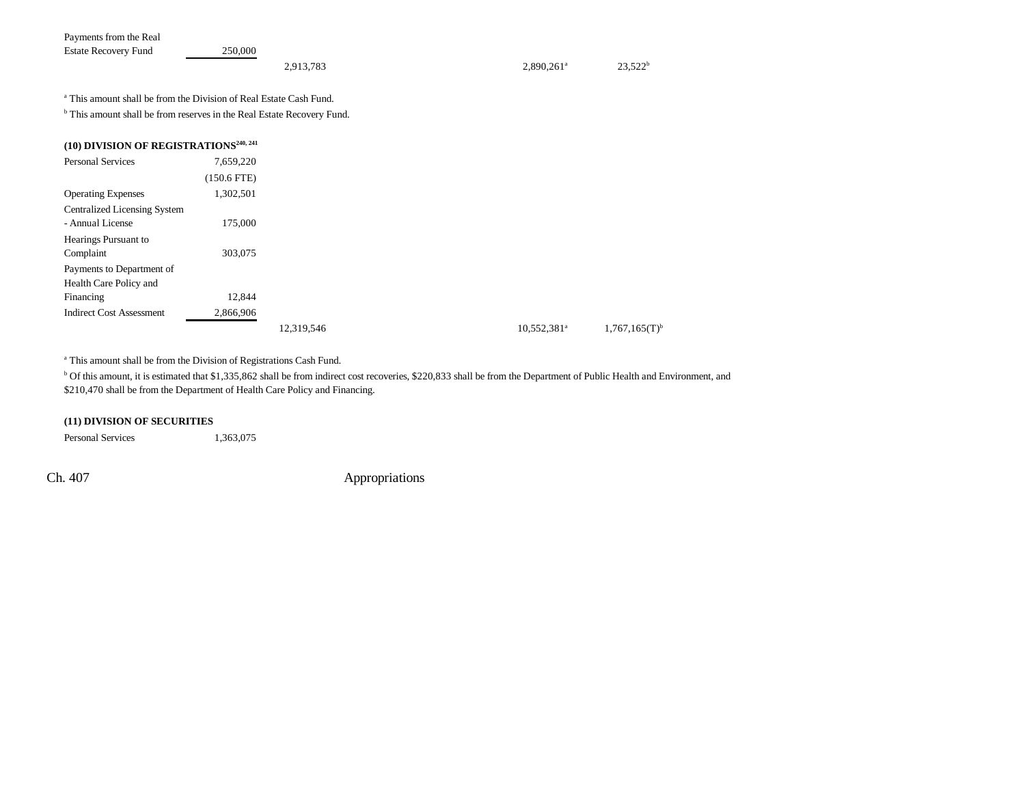| Payments from the Real      |         |           |                          |            |
|-----------------------------|---------|-----------|--------------------------|------------|
| <b>Estate Recovery Fund</b> | 250.000 |           |                          |            |
|                             |         | 2,913,783 | $2.890.261$ <sup>a</sup> | $23.522^h$ |

a This amount shall be from the Division of Real Estate Cash Fund.

 $<sup>b</sup>$  This amount shall be from reserves in the Real Estate Recovery Fund.</sup>

| <b>Personal Services</b>            | 7,659,220     |            |                         |                             |
|-------------------------------------|---------------|------------|-------------------------|-----------------------------|
|                                     | $(150.6$ FTE) |            |                         |                             |
| <b>Operating Expenses</b>           | 1,302,501     |            |                         |                             |
| <b>Centralized Licensing System</b> |               |            |                         |                             |
| - Annual License                    | 175,000       |            |                         |                             |
| Hearings Pursuant to                |               |            |                         |                             |
| Complaint                           | 303,075       |            |                         |                             |
| Payments to Department of           |               |            |                         |                             |
| Health Care Policy and              |               |            |                         |                             |
| Financing                           | 12.844        |            |                         |                             |
| <b>Indirect Cost Assessment</b>     | 2,866,906     |            |                         |                             |
|                                     |               | 12,319,546 | 10,552,381 <sup>a</sup> | $1,767,165(T)$ <sup>b</sup> |

<sup>a</sup> This amount shall be from the Division of Registrations Cash Fund.

<sup>b</sup> Of this amount, it is estimated that \$1,335,862 shall be from indirect cost recoveries, \$220,833 shall be from the Department of Public Health and Environment, and \$210,470 shall be from the Department of Health Care Policy and Financing.

### **(11) DIVISION OF SECURITIES**

Personal Services 1,363,075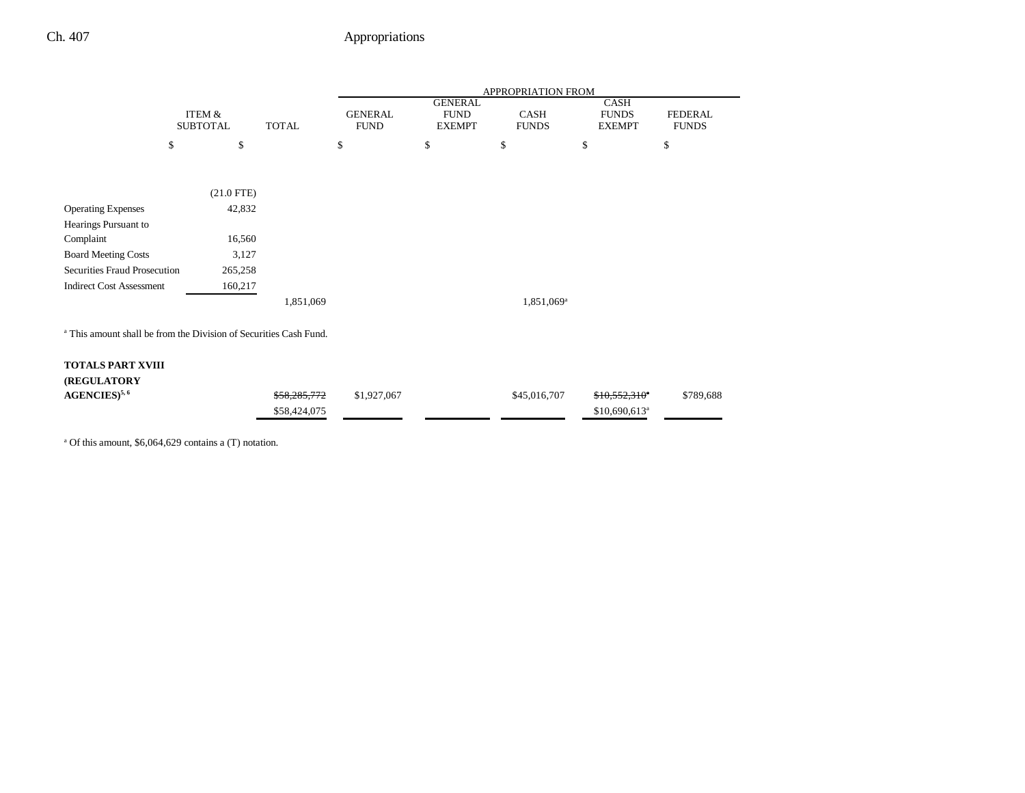|                                                                              |                           |              | APPROPRIATION FROM            |                                                |                        |                                              |                                |
|------------------------------------------------------------------------------|---------------------------|--------------|-------------------------------|------------------------------------------------|------------------------|----------------------------------------------|--------------------------------|
|                                                                              | ITEM &<br><b>SUBTOTAL</b> | <b>TOTAL</b> | <b>GENERAL</b><br><b>FUND</b> | <b>GENERAL</b><br><b>FUND</b><br><b>EXEMPT</b> | CASH<br><b>FUNDS</b>   | <b>CASH</b><br><b>FUNDS</b><br><b>EXEMPT</b> | <b>FEDERAL</b><br><b>FUNDS</b> |
|                                                                              | \$<br>\$                  |              | \$                            | \$                                             | \$                     | \$                                           | \$                             |
|                                                                              |                           |              |                               |                                                |                        |                                              |                                |
|                                                                              | $(21.0$ FTE)              |              |                               |                                                |                        |                                              |                                |
| <b>Operating Expenses</b>                                                    | 42,832                    |              |                               |                                                |                        |                                              |                                |
| Hearings Pursuant to                                                         |                           |              |                               |                                                |                        |                                              |                                |
| Complaint                                                                    | 16,560                    |              |                               |                                                |                        |                                              |                                |
| <b>Board Meeting Costs</b>                                                   | 3,127                     |              |                               |                                                |                        |                                              |                                |
| Securities Fraud Prosecution                                                 | 265,258                   |              |                               |                                                |                        |                                              |                                |
| <b>Indirect Cost Assessment</b>                                              | 160,217                   |              |                               |                                                |                        |                                              |                                |
|                                                                              |                           | 1,851,069    |                               |                                                | 1,851,069 <sup>a</sup> |                                              |                                |
| <sup>a</sup> This amount shall be from the Division of Securities Cash Fund. |                           |              |                               |                                                |                        |                                              |                                |
| <b>TOTALS PART XVIII</b>                                                     |                           |              |                               |                                                |                        |                                              |                                |
| (REGULATORY                                                                  |                           |              |                               |                                                |                        |                                              |                                |
| AGENCIES) <sup>5,6</sup>                                                     |                           | \$58,285,772 | \$1,927,067                   |                                                | \$45,016,707           | $$10,552,310$ <sup>*</sup>                   | \$789,688                      |
|                                                                              |                           | \$58,424,075 |                               |                                                |                        | $$10,690,613$ <sup>a</sup>                   |                                |

a Of this amount, \$6,064,629 contains a (T) notation.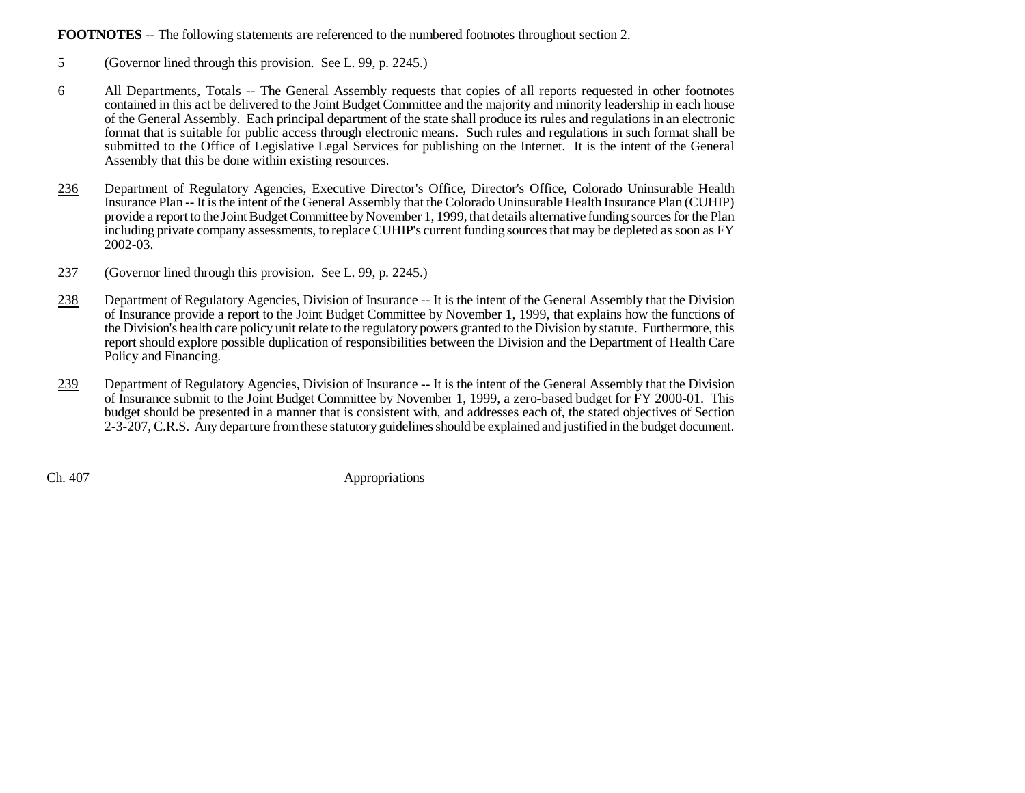**FOOTNOTES** -- The following statements are referenced to the numbered footnotes throughout section 2.

- 5 (Governor lined through this provision. See L. 99, p. 2245.)
- 6 All Departments, Totals -- The General Assembly requests that copies of all reports requested in other footnotes contained in this act be delivered to the Joint Budget Committee and the majority and minority leadership in each house of the General Assembly. Each principal department of the state shall produce its rules and regulations in an electronic format that is suitable for public access through electronic means. Such rules and regulations in such format shall be submitted to the Office of Legislative Legal Services for publishing on the Internet. It is the intent of the General Assembly that this be done within existing resources.
- 236 Department of Regulatory Agencies, Executive Director's Office, Director's Office, Colorado Uninsurable Health Insurance Plan -- It is the intent of the General Assembly that the Colorado Uninsurable Health Insurance Plan (CUHIP) provide a report to the Joint Budget Committee by November 1, 1999, that details alternative funding sources for the Plan including private company assessments, to replace CUHIP's current funding sources that may be depleted as soon as FY 2002-03.
- 237 (Governor lined through this provision. See L. 99, p. 2245.)
- 238 Department of Regulatory Agencies, Division of Insurance -- It is the intent of the General Assembly that the Division of Insurance provide a report to the Joint Budget Committee by November 1, 1999, that explains how the functions of the Division's health care policy unit relate to the regulatory powers granted to the Division by statute. Furthermore, this report should explore possible duplication of responsibilities between the Division and the Department of Health Care Policy and Financing.
- 239 Department of Regulatory Agencies, Division of Insurance -- It is the intent of the General Assembly that the Division of Insurance submit to the Joint Budget Committee by November 1, 1999, a zero-based budget for FY 2000-01. This budget should be presented in a manner that is consistent with, and addresses each of, the stated objectives of Section 2-3-207, C.R.S. Any departure from these statutory guidelines should be explained and justified in the budget document.